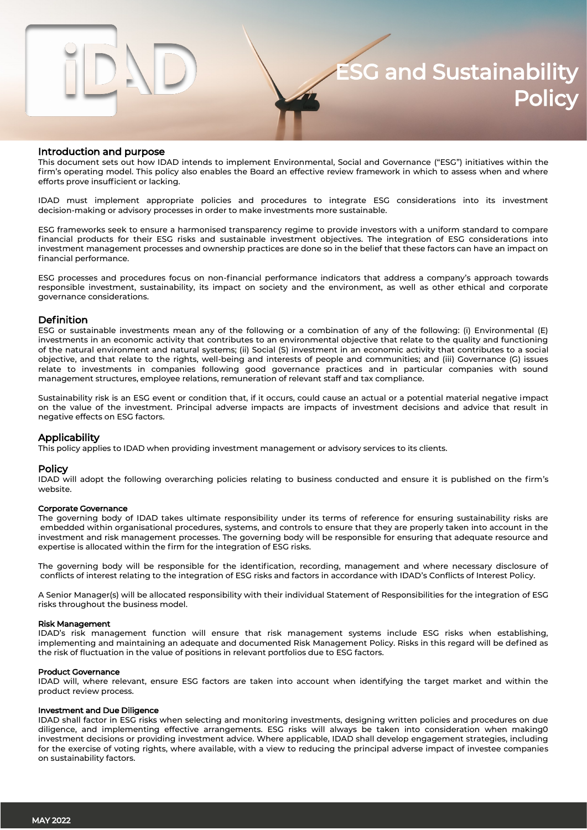

## Introduction and purpose

This document sets out how IDAD intends to implement Environmental, Social and Governance ("ESG") initiatives within the firm's operating model. This policy also enables the Board an effective review framework in which to assess when and where efforts prove insufficient or lacking.

IDAD must implement appropriate policies and procedures to integrate ESG considerations into its investment decision-making or advisory processes in order to make investments more sustainable.

ESG frameworks seek to ensure a harmonised transparency regime to provide investors with a uniform standard to compare financial products for their ESG risks and sustainable investment objectives. The integration of ESG considerations into investment management processes and ownership practices are done so in the belief that these factors can have an impact on financial performance.

ESG processes and procedures focus on non-financial performance indicators that address a company's approach towards responsible investment, sustainability, its impact on society and the environment, as well as other ethical and corporate governance considerations.

# Definition

ESG or sustainable investments mean any of the following or a combination of any of the following: (i) Environmental (E) investments in an economic activity that contributes to an environmental objective that relate to the quality and functioning of the natural environment and natural systems; (ii) Social (S) investment in an economic activity that contributes to a social objective, and that relate to the rights, well-being and interests of people and communities; and (iii) Governance (G) issues relate to investments in companies following good governance practices and in particular companies with sound management structures, employee relations, remuneration of relevant staff and tax compliance.

Sustainability risk is an ESG event or condition that, if it occurs, could cause an actual or a potential material negative impact on the value of the investment. Principal adverse impacts are impacts of investment decisions and advice that result in negative effects on ESG factors.

# **Applicability**

This policy applies to IDAD when providing investment management or advisory services to its clients.

## Policy

IDAD will adopt the following overarching policies relating to business conducted and ensure it is published on the firm's website.

## Corporate Governance

The governing body of IDAD takes ultimate responsibility under its terms of reference for ensuring sustainability risks are embedded within organisational procedures, systems, and controls to ensure that they are properly taken into account in the investment and risk management processes. The governing body will be responsible for ensuring that adequate resource and expertise is allocated within the firm for the integration of ESG risks.

The governing body will be responsible for the identification, recording, management and where necessary disclosure of conflicts of interest relating to the integration of ESG risks and factors in accordance with IDAD's Conflicts of Interest Policy.

A Senior Manager(s) will be allocated responsibility with their individual Statement of Responsibilities for the integration of ESG risks throughout the business model.

## Risk Management

IDAD's risk management function will ensure that risk management systems include ESG risks when establishing, implementing and maintaining an adequate and documented Risk Management Policy. Risks in this regard will be defined as the risk of fluctuation in the value of positions in relevant portfolios due to ESG factors.

## Product Governance

IDAD will, where relevant, ensure ESG factors are taken into account when identifying the target market and within the product review process.

## Investment and Due Diligence

IDAD shall factor in ESG risks when selecting and monitoring investments, designing written policies and procedures on due diligence, and implementing effective arrangements. ESG risks will always be taken into consideration when making0 investment decisions or providing investment advice. Where applicable, IDAD shall develop engagement strategies, including for the exercise of voting rights, where available, with a view to reducing the principal adverse impact of investee companies on sustainability factors.